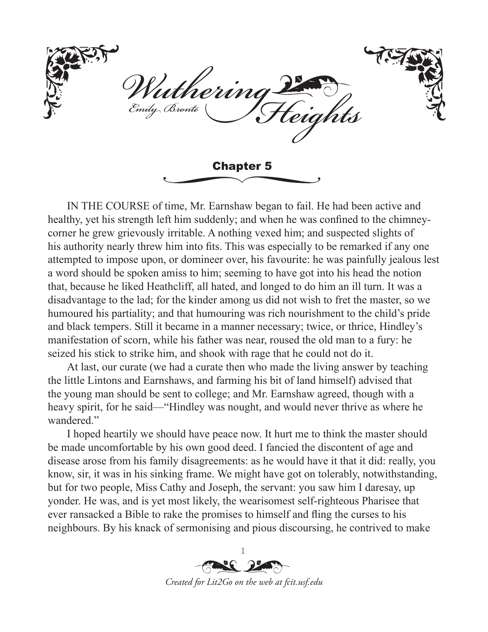'utherini Emily Bronte riahts Chapter 5

IN THE COURSE of time, Mr. Earnshaw began to fail. He had been active and healthy, yet his strength left him suddenly; and when he was confined to the chimneycorner he grew grievously irritable. A nothing vexed him; and suspected slights of his authority nearly threw him into fits. This was especially to be remarked if any one attempted to impose upon, or domineer over, his favourite: he was painfully jealous lest a word should be spoken amiss to him; seeming to have got into his head the notion that, because he liked Heathcliff, all hated, and longed to do him an ill turn. It was a disadvantage to the lad; for the kinder among us did not wish to fret the master, so we humoured his partiality; and that humouring was rich nourishment to the child's pride and black tempers. Still it became in a manner necessary; twice, or thrice, Hindley's manifestation of scorn, while his father was near, roused the old man to a fury: he seized his stick to strike him, and shook with rage that he could not do it.

At last, our curate (we had a curate then who made the living answer by teaching the little Lintons and Earnshaws, and farming his bit of land himself) advised that the young man should be sent to college; and Mr. Earnshaw agreed, though with a heavy spirit, for he said—"Hindley was nought, and would never thrive as where he wandered."

I hoped heartily we should have peace now. It hurt me to think the master should be made uncomfortable by his own good deed. I fancied the discontent of age and disease arose from his family disagreements: as he would have it that it did: really, you know, sir, it was in his sinking frame. We might have got on tolerably, notwithstanding, but for two people, Miss Cathy and Joseph, the servant: you saw him I daresay, up yonder. He was, and is yet most likely, the wearisomest self-righteous Pharisee that ever ransacked a Bible to rake the promises to himself and fling the curses to his neighbours. By his knack of sermonising and pious discoursing, he contrived to make

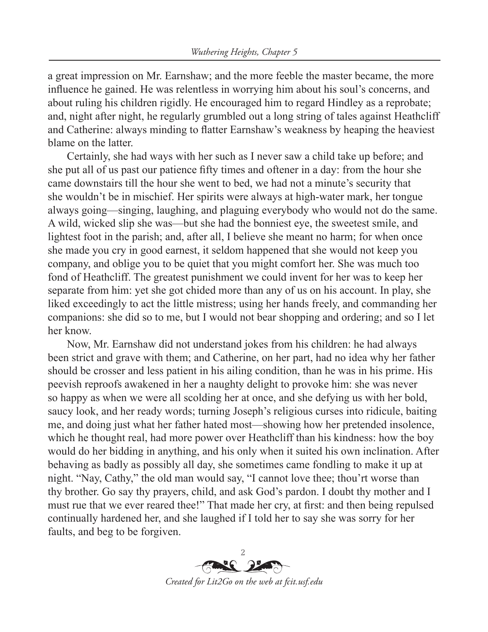a great impression on Mr. Earnshaw; and the more feeble the master became, the more influence he gained. He was relentless in worrying him about his soul's concerns, and about ruling his children rigidly. He encouraged him to regard Hindley as a reprobate; and, night after night, he regularly grumbled out a long string of tales against Heathcliff and Catherine: always minding to flatter Earnshaw's weakness by heaping the heaviest blame on the latter.

Certainly, she had ways with her such as I never saw a child take up before; and she put all of us past our patience fifty times and oftener in a day: from the hour she came downstairs till the hour she went to bed, we had not a minute's security that she wouldn't be in mischief. Her spirits were always at high-water mark, her tongue always going—singing, laughing, and plaguing everybody who would not do the same. A wild, wicked slip she was—but she had the bonniest eye, the sweetest smile, and lightest foot in the parish; and, after all, I believe she meant no harm; for when once she made you cry in good earnest, it seldom happened that she would not keep you company, and oblige you to be quiet that you might comfort her. She was much too fond of Heathcliff. The greatest punishment we could invent for her was to keep her separate from him: yet she got chided more than any of us on his account. In play, she liked exceedingly to act the little mistress; using her hands freely, and commanding her companions: she did so to me, but I would not bear shopping and ordering; and so I let her know.

Now, Mr. Earnshaw did not understand jokes from his children: he had always been strict and grave with them; and Catherine, on her part, had no idea why her father should be crosser and less patient in his ailing condition, than he was in his prime. His peevish reproofs awakened in her a naughty delight to provoke him: she was never so happy as when we were all scolding her at once, and she defying us with her bold, saucy look, and her ready words; turning Joseph's religious curses into ridicule, baiting me, and doing just what her father hated most—showing how her pretended insolence, which he thought real, had more power over Heathcliff than his kindness: how the boy would do her bidding in anything, and his only when it suited his own inclination. After behaving as badly as possibly all day, she sometimes came fondling to make it up at night. "Nay, Cathy," the old man would say, "I cannot love thee; thou'rt worse than thy brother. Go say thy prayers, child, and ask God's pardon. I doubt thy mother and I must rue that we ever reared thee!" That made her cry, at first: and then being repulsed continually hardened her, and she laughed if I told her to say she was sorry for her faults, and beg to be forgiven.